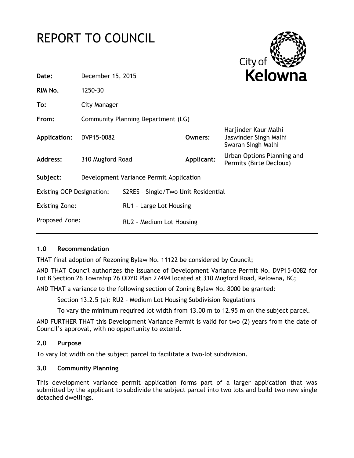# REPORT TO COUNCIL



| Date:                            | December 15, 2015                       |                                     | Kelowna    |                                                                     |
|----------------------------------|-----------------------------------------|-------------------------------------|------------|---------------------------------------------------------------------|
| RIM No.                          | 1250-30                                 |                                     |            |                                                                     |
| To:                              | City Manager                            |                                     |            |                                                                     |
| From:                            | Community Planning Department (LG)      |                                     |            |                                                                     |
| Application:                     | DVP15-0082                              |                                     | Owners:    | Harjinder Kaur Malhi<br>Jaswinder Singh Malhi<br>Swaran Singh Malhi |
| Address:                         | 310 Mugford Road                        |                                     | Applicant: | Urban Options Planning and<br>Permits (Birte Decloux)               |
| Subject:                         | Development Variance Permit Application |                                     |            |                                                                     |
| <b>Existing OCP Designation:</b> |                                         | S2RES - Single/Two Unit Residential |            |                                                                     |
| <b>Existing Zone:</b>            |                                         | RU1 - Large Lot Housing             |            |                                                                     |
| Proposed Zone:                   |                                         | RU2 - Medium Lot Housing            |            |                                                                     |
|                                  |                                         |                                     |            |                                                                     |

# **1.0 Recommendation**

THAT final adoption of Rezoning Bylaw No. 11122 be considered by Council;

AND THAT Council authorizes the issuance of Development Variance Permit No. DVP15-0082 for Lot B Section 26 Township 26 ODYD Plan 27494 located at 310 Mugford Road, Kelowna, BC;

AND THAT a variance to the following section of Zoning Bylaw No. 8000 be granted:

Section 13.2.5 (a): RU2 – Medium Lot Housing Subdivision Regulations

To vary the minimum required lot width from 13.00 m to 12.95 m on the subject parcel.

AND FURTHER THAT this Development Variance Permit is valid for two (2) years from the date of Council's approval, with no opportunity to extend.

## **2.0 Purpose**

To vary lot width on the subject parcel to facilitate a two-lot subdivision.

## **3.0 Community Planning**

This development variance permit application forms part of a larger application that was submitted by the applicant to subdivide the subject parcel into two lots and build two new single detached dwellings.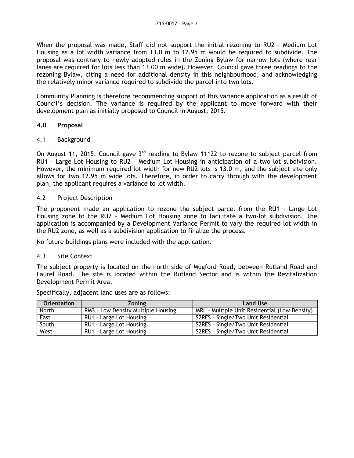When the proposal was made, Staff did not support the initial rezoning to RU2 – Medium Lot Housing as a lot width variance from 13.0 m to 12.95 m would be required to subdivide. The proposal was contrary to newly adopted rules in the Zoning Bylaw for narrow lots (where rear lanes are required for lots less than 13.00 m wide). However, Council gave three readings to the rezoning Bylaw, citing a need for additional density in this neighbourhood, and acknowledging the relatively minor variance required to subdivide the parcel into two lots.

Community Planning is therefore recommending support of this variance application as a result of Council's decision. The variance is required by the applicant to move forward with their development plan as initially proposed to Council in August, 2015.

## **4.0 Proposal**

### 4.1 Background

On August 11, 2015, Council gave  $3<sup>rd</sup>$  reading to Bylaw 11122 to rezone to subject parcel from RU1 – Large Lot Housing to RU2 – Medium Lot Housing in anticipation of a two lot subdivision. However, the minimum required lot width for new RU2 lots is 13.0 m, and the subject site only allows for two 12.95 m wide lots. Therefore, in order to carry through with the development plan, the applicant requires a variance to lot width.

### 4.2 Project Description

The proponent made an application to rezone the subject parcel from the RU1 – Large Lot Housing zone to the RU2 – Medium Lot Housing zone to facilitate a two-lot subdivision. The application is accompanied by a Development Variance Permit to vary the required lot width in the RU2 zone, as well as a subdivision application to finalize the process.

No future buildings plans were included with the application.

#### 4.3 Site Context

The subject property is located on the north side of Mugford Road, between Rutland Road and Laurel Road. The site is located within the Rutland Sector and is within the Revitalization Development Permit Area.

| <b>Orientation</b> | <b>Zoning</b>                      | <b>Land Use</b>                               |
|--------------------|------------------------------------|-----------------------------------------------|
| North              | RM3 - Low Density Multiple Housing | MRL - Multiple Unit Residential (Low Density) |
| East               | RU1 - Large Lot Housing            | S2RES - Single/Two Unit Residential           |
| South              | RU1 - Large Lot Housing            | S2RES - Single/Two Unit Residential           |
| West               | RU1 - Large Lot Housing            | S2RES - Single/Two Unit Residential           |

Specifically, adjacent land uses are as follows: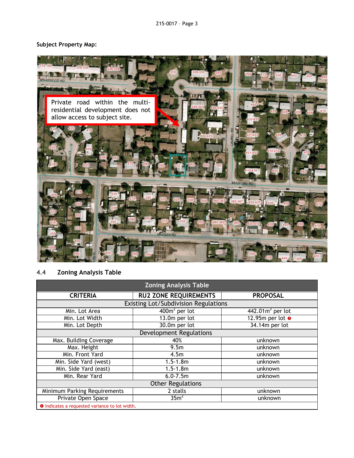# **Subject Property Map:**



# 4.4 **Zoning Analysis Table**

| <b>Zoning Analysis Table</b>                          |                              |                          |  |  |  |  |
|-------------------------------------------------------|------------------------------|--------------------------|--|--|--|--|
| <b>CRITERIA</b>                                       | <b>RU2 ZONE REQUIREMENTS</b> | <b>PROPOSAL</b>          |  |  |  |  |
| Existing Lot/Subdivision Regulations                  |                              |                          |  |  |  |  |
| Min. Lot Area                                         | $400m2$ per lot              | $442.01m2$ per lot       |  |  |  |  |
| Min. Lot Width                                        | $13.0m$ per lot              | 12.95m per lot $\bullet$ |  |  |  |  |
| Min. Lot Depth                                        | 30.0m per lot                | 34.14m per lot           |  |  |  |  |
| <b>Development Regulations</b>                        |                              |                          |  |  |  |  |
| Max. Building Coverage                                | 40%                          | unknown                  |  |  |  |  |
| Max. Height                                           | 9.5 <sub>m</sub>             | unknown                  |  |  |  |  |
| Min. Front Yard                                       | 4.5m                         | unknown                  |  |  |  |  |
| Min. Side Yard (west)                                 | $1.5 - 1.8m$                 | unknown                  |  |  |  |  |
| Min. Side Yard (east)                                 | $1.5 - 1.8m$                 | unknown                  |  |  |  |  |
| Min. Rear Yard                                        | $6.0 - 7.5m$                 | unknown                  |  |  |  |  |
| <b>Other Regulations</b>                              |                              |                          |  |  |  |  |
| <b>Minimum Parking Requirements</b>                   | 2 stalls                     | unknown                  |  |  |  |  |
| Private Open Space                                    | 35m <sup>2</sup>             | unknown                  |  |  |  |  |
| <b>O</b> Indicates a requested variance to lot width. |                              |                          |  |  |  |  |